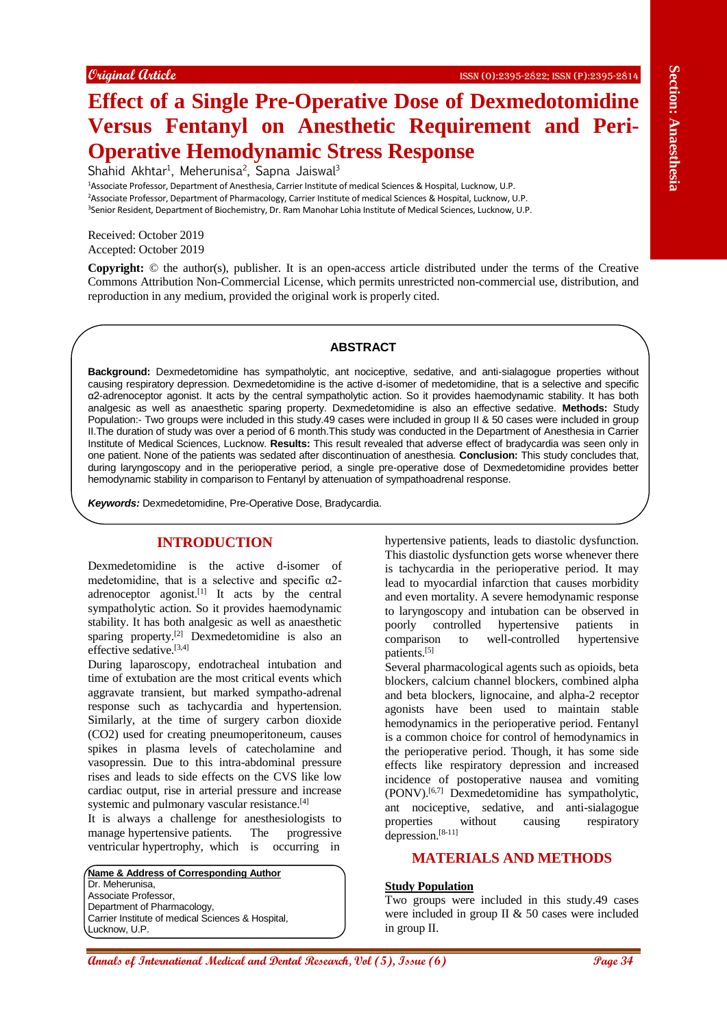# **Effect of a Single Pre-Operative Dose of Dexmedotomidine Versus Fentanyl on Anesthetic Requirement and Peri-Operative Hemodynamic Stress Response**

Shahid Akhtar<sup>1</sup>, Meherunisa<sup>2</sup>, Sapna Jaiswal<sup>3</sup>

<sup>1</sup>Associate Professor, Department of Anesthesia, Carrier Institute of medical Sciences & Hospital, Lucknow, U.P. <sup>2</sup>Associate Professor, Department of Pharmacology, Carrier Institute of medical Sciences & Hospital, Lucknow, U.P. <sup>3</sup>Senior Resident, Department of Biochemistry, Dr. Ram Manohar Lohia Institute of Medical Sciences, Lucknow, U.P.

Received: October 2019 Accepted: October 2019

**Copyright:** © the author(s), publisher. It is an open-access article distributed under the terms of the Creative Commons Attribution Non-Commercial License, which permits unrestricted non-commercial use, distribution, and reproduction in any medium, provided the original work is properly cited.

## **ABSTRACT**

**Example (East of International Medical Ann and Section 2011 Control Control Control Control Control Control Control Control Control Control Control Control Control Control Control Control Control Control Control Contro Background:** Dexmedetomidine has sympatholytic, ant nociceptive, sedative, and anti-sialagogue properties without causing respiratory depression. Dexmedetomidine is the active d-isomer of medetomidine, that is a selective and specific α2-adrenoceptor agonist. It acts by the central sympatholytic action. So it provides haemodynamic stability. It has both analgesic as well as anaesthetic sparing property. Dexmedetomidine is also an effective sedative. **Methods:** Study Population:- Two groups were included in this study.49 cases were included in group II & 50 cases were included in group II.The duration of study was over a period of 6 month.This study was conducted in the Department of Anesthesia in Carrier Institute of Medical Sciences, Lucknow. **Results:** This result revealed that adverse effect of bradycardia was seen only in one patient. None of the patients was sedated after discontinuation of anesthesia. **Conclusion:** This study concludes that, during laryngoscopy and in the perioperative period, a single pre-operative dose of Dexmedetomidine provides better hemodynamic stability in comparison to Fentanyl by attenuation of sympathoadrenal response.

*Keywords:* Dexmedetomidine, Pre-Operative Dose, Bradycardia.

# **INTRODUCTION**

Dexmedetomidine is the active d-isomer of medetomidine, that is a selective and specific  $\alpha$ 2adrenoceptor agonist.<sup>[1]</sup> It acts by the central sympatholytic action. So it provides haemodynamic stability. It has both analgesic as well as anaesthetic sparing property.<sup>[2]</sup> Dexmedetomidine is also an effective sedative.<sup>[3,4]</sup>

During laparoscopy, endotracheal intubation and time of extubation are the most critical events which aggravate transient, but marked sympatho-adrenal response such as tachycardia and hypertension. Similarly, at the time of surgery carbon dioxide (CO2) used for creating pneumoperitoneum, causes spikes in plasma levels of catecholamine and vasopressin. Due to this intra-abdominal pressure rises and leads to side effects on the CVS like low cardiac output, rise in arterial pressure and increase systemic and pulmonary vascular resistance.<sup>[4]</sup>

It is always a challenge for anesthesiologists to manage hypertensive patients. The progressive ventricular hypertrophy, which is occurring in

**Name & Address of Corresponding Author** Dr. Meherunisa, Associate Professor, Department of Pharmacology, Carrier Institute of medical Sciences & Hospital, Lucknow, U.P.

hypertensive patients, leads to diastolic dysfunction. This diastolic dysfunction gets worse whenever there is tachycardia in the perioperative period. It may lead to myocardial infarction that causes morbidity and even mortality. A severe hemodynamic response to laryngoscopy and intubation can be observed in poorly controlled hypertensive patients in comparison to well-controlled hypertensive patients.[5]

Several pharmacological agents such as opioids, beta blockers, calcium channel blockers, combined alpha and beta blockers, lignocaine, and alpha-2 receptor agonists have been used to maintain stable hemodynamics in the perioperative period. Fentanyl is a common choice for control of hemodynamics in the perioperative period. Though, it has some side effects like respiratory depression and increased incidence of postoperative nausea and vomiting (PONV).[6,7] Dexmedetomidine has sympatholytic, ant nociceptive, sedative, and anti-sialagogue properties without causing respiratory depression.[8-11]

# **MATERIALS AND METHODS**

# **Study Population**

Two groups were included in this study.49 cases were included in group II & 50 cases were included in group II.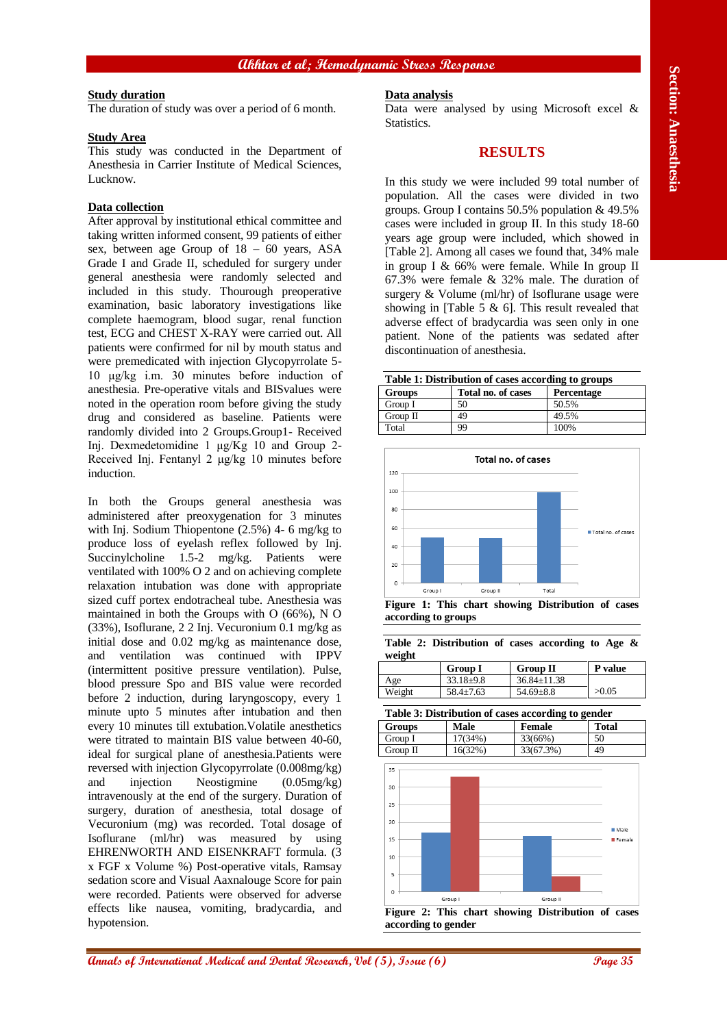## **Akhtar et al; Hemodynamic Stress Response**

## **Study duration**

The duration of study was over a period of 6 month.

#### **Study Area**

This study was conducted in the Department of Anesthesia in Carrier Institute of Medical Sciences, Lucknow.

# **Data collection**

After approval by institutional ethical committee and taking written informed consent, 99 patients of either sex, between age Group of 18 – 60 years, ASA Grade I and Grade II, scheduled for surgery under general anesthesia were randomly selected and included in this study. Thourough preoperative examination, basic laboratory investigations like complete haemogram, blood sugar, renal function test, ECG and CHEST X-RAY were carried out. All patients were confirmed for nil by mouth status and were premedicated with injection Glycopyrrolate 5- 10 μg/kg i.m. 30 minutes before induction of anesthesia. Pre-operative vitals and BISvalues were noted in the operation room before giving the study drug and considered as baseline. Patients were randomly divided into 2 Groups.Group1- Received Inj. Dexmedetomidine 1 μg/Kg 10 and Group 2- Received Inj. Fentanyl 2 μg/kg 10 minutes before induction.

**Analysis of International Medical and Dental Anti- The section of Dental Research (Dental Anti- 1992) and Control and Dental Research (Dental Anti- 1993) and Control and Dental Research (Dental Research) and The Section** In both the Groups general anesthesia was administered after preoxygenation for 3 minutes with Inj. Sodium Thiopentone (2.5%) 4- 6 mg/kg to produce loss of eyelash reflex followed by Inj. Succinylcholine 1.5-2 mg/kg. Patients were ventilated with 100% O 2 and on achieving complete relaxation intubation was done with appropriate sized cuff portex endotracheal tube. Anesthesia was maintained in both the Groups with O (66%), N O (33%), Isoflurane, 2 2 Inj. Vecuronium 0.1 mg/kg as initial dose and 0.02 mg/kg as maintenance dose, and ventilation was continued with IPPV (intermittent positive pressure ventilation). Pulse, blood pressure Spo and BIS value were recorded before 2 induction, during laryngoscopy, every 1 minute upto 5 minutes after intubation and then every 10 minutes till extubation.Volatile anesthetics were titrated to maintain BIS value between 40-60, ideal for surgical plane of anesthesia.Patients were reversed with injection Glycopyrrolate (0.008mg/kg) and injection Neostigmine (0.05mg/kg) intravenously at the end of the surgery. Duration of surgery, duration of anesthesia, total dosage of Vecuronium (mg) was recorded. Total dosage of Isoflurane (ml/hr) was measured by using EHRENWORTH AND EISENKRAFT formula. (3 x FGF x Volume %) Post-operative vitals, Ramsay sedation score and Visual Aaxnalouge Score for pain were recorded. Patients were observed for adverse effects like nausea, vomiting, bradycardia, and hypotension.

#### **Data analysis**

Data were analysed by using Microsoft excel & Statistics.

# **RESULTS**

In this study we were included 99 total number of population. All the cases were divided in two groups. Group I contains 50.5% population & 49.5% cases were included in group II. In this study 18-60 years age group were included, which showed in [Table 2]. Among all cases we found that, 34% male in group I & 66% were female. While In group II 67.3% were female & 32% male. The duration of surgery & Volume (ml/hr) of Isoflurane usage were showing in [Table 5 & 6]. This result revealed that adverse effect of bradycardia was seen only in one patient. None of the patients was sedated after discontinuation of anesthesia.

| Table 1: Distribution of cases according to groups |            |       |  |  |  |
|----------------------------------------------------|------------|-------|--|--|--|
| <b>Groups</b>                                      | Percentage |       |  |  |  |
| Group I                                            | 50         | 50.5% |  |  |  |
| Group II                                           | 49         | 49.5% |  |  |  |
| Total                                              | 99         | 100%  |  |  |  |



**Figure 1: This chart showing Distribution of cases according to groups**

|        | Table 2: Distribution of cases according to Age $\&$ |  |  |  |
|--------|------------------------------------------------------|--|--|--|
| weight |                                                      |  |  |  |

|        | <b>Group I</b>  | <b>Group II</b>   | P value |
|--------|-----------------|-------------------|---------|
| Age    | $33.18 \pm 9.8$ | $36.84 \pm 11.38$ |         |
| Weight | $58.4 \pm 7.63$ | $54.69 \pm 8.8$   | >0.05   |

**Table 3: Distribution of cases according to gender**

| <b>Groups</b> | Male    | <b>Female</b> | <b>Total</b> |
|---------------|---------|---------------|--------------|
| Group I       | 17(34%) | 33(66%)       | 50           |
| Group II      | 16(32%) | 33(67.3%)     | 49           |

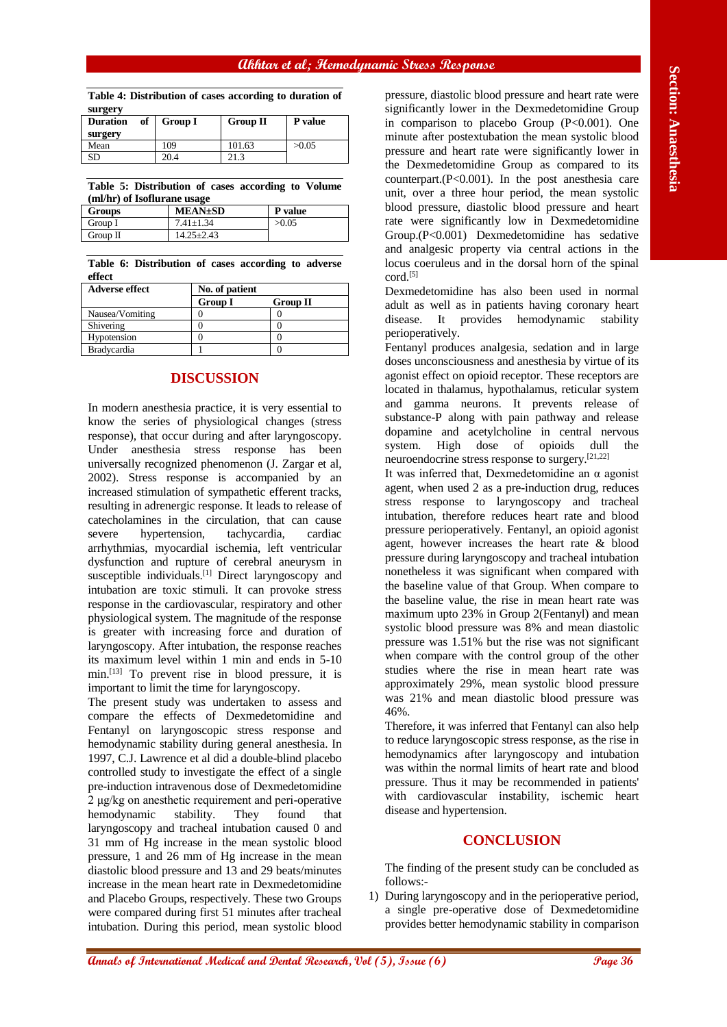# **Akhtar et al; Hemodynamic Stress Response**

**Table 4: Distribution of cases according to duration of surgery**

| of<br><b>Duration</b> | <b>Group I</b> | <b>Group II</b> | P value |
|-----------------------|----------------|-----------------|---------|
| surgery               |                |                 |         |
| Mean                  | 109            | 101.63          | >0.05   |
| SD                    | 20.4           | 21.3            |         |

**Table 5: Distribution of cases according to Volume (ml/hr) of Isoflurane usage**

| Groups   | <b>MEAN±SD</b>  | P value |
|----------|-----------------|---------|
| Group I  | $7.41 \pm 1.34$ | >0.05   |
| Group II | $14.25 + 2.43$  |         |

**Table 6: Distribution of cases according to adverse effect**

| <b>Adverse effect</b> | No. of patient |                 |  |
|-----------------------|----------------|-----------------|--|
|                       | <b>Group I</b> | <b>Group II</b> |  |
| Nausea/Vomiting       |                |                 |  |
| Shivering             |                |                 |  |
| Hypotension           |                |                 |  |
| <b>Bradycardia</b>    |                |                 |  |

# **DISCUSSION**

**Take E Distribution** of one state and proposed in the state of International Medical and Dental Annals of International Control in the state of International Control in the state of International Control in the state of In modern anesthesia practice, it is very essential to know the series of physiological changes (stress response), that occur during and after laryngoscopy. Under anesthesia stress response has been universally recognized phenomenon (J. Zargar et al, 2002). Stress response is accompanied by an increased stimulation of sympathetic efferent tracks, resulting in adrenergic response. It leads to release of catecholamines in the circulation, that can cause severe hypertension, tachycardia, cardiac arrhythmias, myocardial ischemia, left ventricular dysfunction and rupture of cerebral aneurysm in susceptible individuals.<sup>[1]</sup> Direct laryngoscopy and intubation are toxic stimuli. It can provoke stress response in the cardiovascular, respiratory and other physiological system. The magnitude of the response is greater with increasing force and duration of laryngoscopy. After intubation, the response reaches its maximum level within 1 min and ends in 5-10 min.[13] To prevent rise in blood pressure, it is important to limit the time for laryngoscopy.

The present study was undertaken to assess and compare the effects of Dexmedetomidine and Fentanyl on laryngoscopic stress response and hemodynamic stability during general anesthesia. In 1997, C.J. Lawrence et al did a double-blind placebo controlled study to investigate the effect of a single pre-induction intravenous dose of Dexmedetomidine 2 μg/kg on anesthetic requirement and peri-operative hemodynamic stability. They found that laryngoscopy and tracheal intubation caused 0 and 31 mm of Hg increase in the mean systolic blood pressure, 1 and 26 mm of Hg increase in the mean diastolic blood pressure and 13 and 29 beats/minutes increase in the mean heart rate in Dexmedetomidine and Placebo Groups, respectively. These two Groups were compared during first 51 minutes after tracheal intubation. During this period, mean systolic blood

pressure, diastolic blood pressure and heart rate were significantly lower in the Dexmedetomidine Group in comparison to placebo Group (P<0.001). One minute after postextubation the mean systolic blood pressure and heart rate were significantly lower in the Dexmedetomidine Group as compared to its counterpart. $(P<0.001)$ . In the post anesthesia care unit, over a three hour period, the mean systolic blood pressure, diastolic blood pressure and heart rate were significantly low in Dexmedetomidine Group.(P<0.001) Dexmedetomidine has sedative and analgesic property via central actions in the locus coeruleus and in the dorsal horn of the spinal cord.<sup>[5]</sup>

Dexmedetomidine has also been used in normal adult as well as in patients having coronary heart disease. It provides hemodynamic stability perioperatively.

Fentanyl produces analgesia, sedation and in large doses unconsciousness and anesthesia by virtue of its agonist effect on opioid receptor. These receptors are located in thalamus, hypothalamus, reticular system and gamma neurons. It prevents release of substance-P along with pain pathway and release dopamine and acetylcholine in central nervous system. High dose of opioids dull the neuroendocrine stress response to surgery.[21,22]

It was inferred that, Dexmedetomidine an α agonist agent, when used 2 as a pre-induction drug, reduces stress response to laryngoscopy and tracheal intubation, therefore reduces heart rate and blood pressure perioperatively. Fentanyl, an opioid agonist agent, however increases the heart rate & blood pressure during laryngoscopy and tracheal intubation nonetheless it was significant when compared with the baseline value of that Group. When compare to the baseline value, the rise in mean heart rate was maximum upto 23% in Group 2(Fentanyl) and mean systolic blood pressure was 8% and mean diastolic pressure was 1.51% but the rise was not significant when compare with the control group of the other studies where the rise in mean heart rate was approximately 29%, mean systolic blood pressure was 21% and mean diastolic blood pressure was 46%.

Therefore, it was inferred that Fentanyl can also help to reduce laryngoscopic stress response, as the rise in hemodynamics after laryngoscopy and intubation was within the normal limits of heart rate and blood pressure. Thus it may be recommended in patients' with cardiovascular instability, ischemic heart disease and hypertension.

## **CONCLUSION**

The finding of the present study can be concluded as follows:-

1) During laryngoscopy and in the perioperative period, a single pre-operative dose of Dexmedetomidine provides better hemodynamic stability in comparison